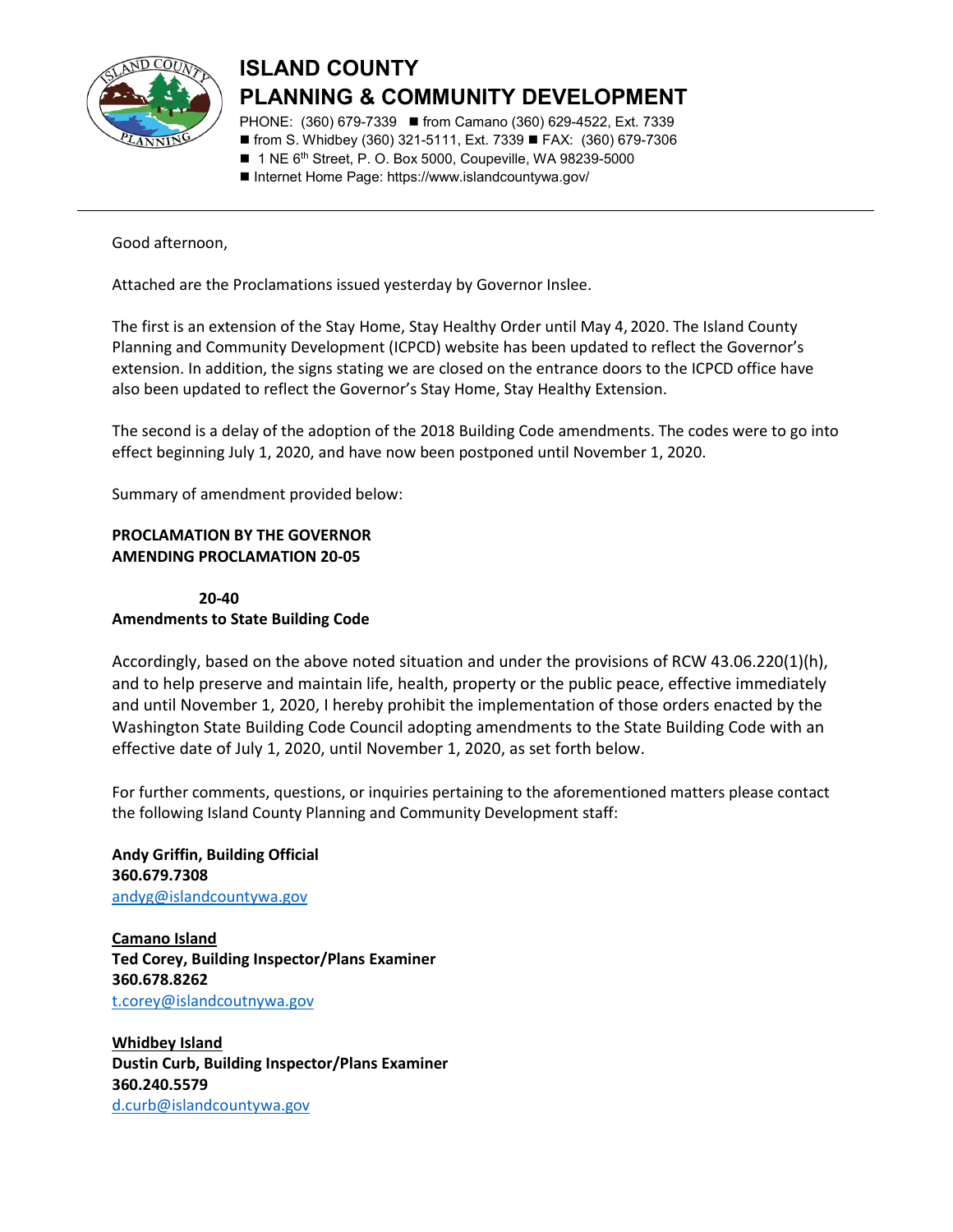

## **ISLAND COUNTY PLANNING & COMMUNITY DEVELOPMENT**

PHONE: (360) 679-7339 ■ from Camano (360) 629-4522, Ext. 7339 ■ from S. Whidbey (360) 321-5111, Ext. 7339 ■ FAX: (360) 679-7306

■ 1 NE 6<sup>th</sup> Street, P. O. Box 5000, Coupeville, WA 98239-5000

■ Internet Home Page: https://www.islandcountywa.gov/

Good afternoon,

Attached are the Proclamations issued yesterday by Governor Inslee.

The first is an extension of the Stay Home, Stay Healthy Order until May 4, 2020. The Island County Planning and Community Development (ICPCD) website has been updated to reflect the Governor's extension. In addition, the signs stating we are closed on the entrance doors to the ICPCD office have also been updated to reflect the Governor's Stay Home, Stay Healthy Extension.

The second is a delay of the adoption of the 2018 Building Code amendments. The codes were to go into effect beginning July 1, 2020, and have now been postponed until November 1, 2020.

Summary of amendment provided below:

## **PROCLAMATION BY THE GOVERNOR AMENDING PROCLAMATION 20-05**

 **20-40 Amendments to State Building Code**

Accordingly, based on the above noted situation and under the provisions of RCW 43.06.220(1)(h), and to help preserve and maintain life, health, property or the public peace, effective immediately and until November 1, 2020, I hereby prohibit the implementation of those orders enacted by the Washington State Building Code Council adopting amendments to the State Building Code with an effective date of July 1, 2020, until November 1, 2020, as set forth below.

For further comments, questions, or inquiries pertaining to the aforementioned matters please contact the following Island County Planning and Community Development staff:

**Andy Griffin, Building Official 360.679.7308** [andyg@islandcountywa.gov](mailto:andyg@islandcountywa.gov)

**Camano Island Ted Corey, Building Inspector/Plans Examiner 360.678.8262** [t.corey@islandcoutnywa.gov](mailto:t.corey@islandcoutnywa.gov)

**Whidbey Island Dustin Curb, Building Inspector/Plans Examiner 360.240.5579** [d.curb@islandcountywa.gov](mailto:d.curb@islandcountywa.gov)